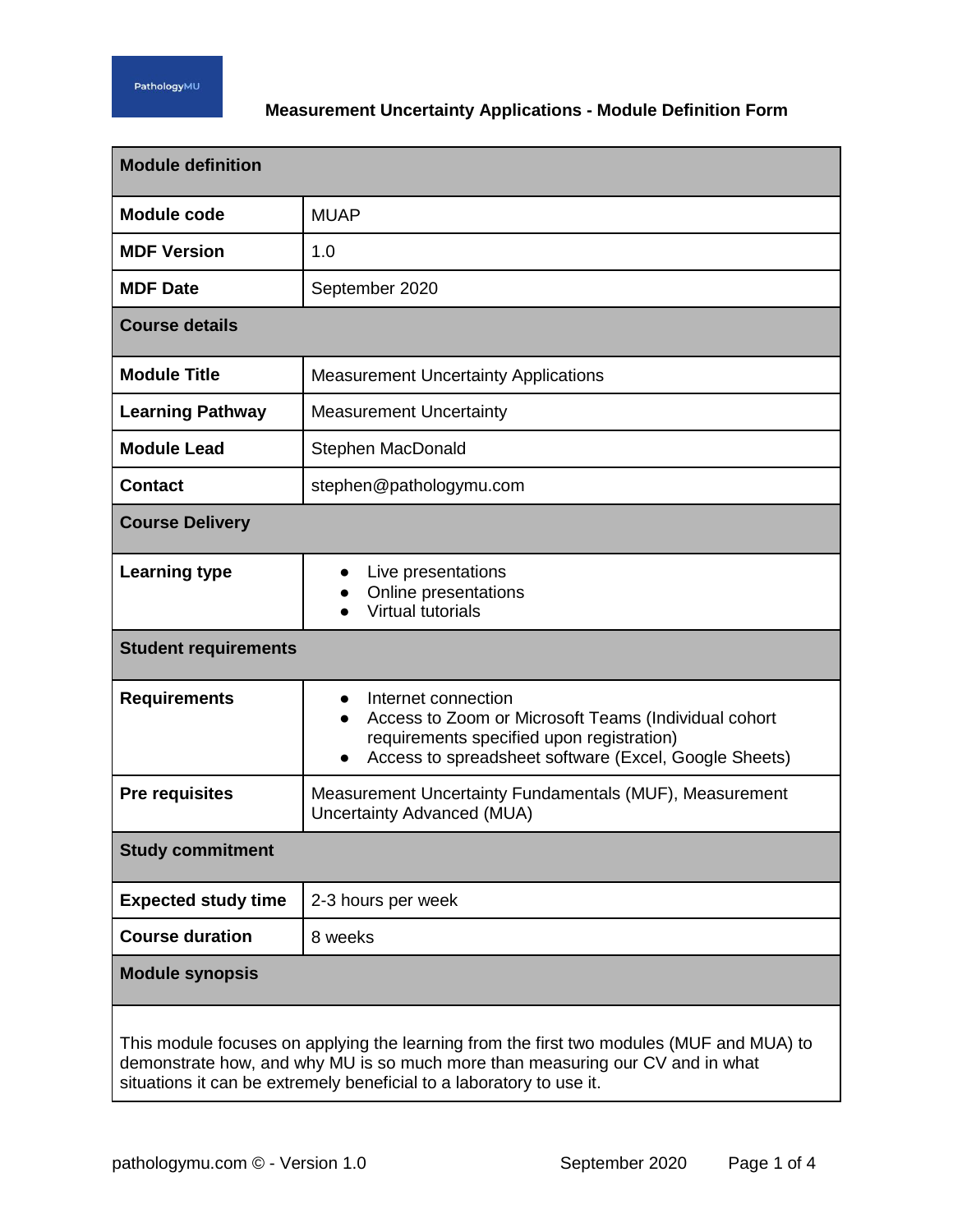## **Measurement Uncertainty Applications - Module Definition Form**

| <b>Module definition</b>                                                                                                                                                                                                                          |                                                                                                                                                                                   |  |
|---------------------------------------------------------------------------------------------------------------------------------------------------------------------------------------------------------------------------------------------------|-----------------------------------------------------------------------------------------------------------------------------------------------------------------------------------|--|
| <b>Module code</b>                                                                                                                                                                                                                                | <b>MUAP</b>                                                                                                                                                                       |  |
| <b>MDF Version</b>                                                                                                                                                                                                                                | 1.0                                                                                                                                                                               |  |
| <b>MDF Date</b>                                                                                                                                                                                                                                   | September 2020                                                                                                                                                                    |  |
| <b>Course details</b>                                                                                                                                                                                                                             |                                                                                                                                                                                   |  |
| <b>Module Title</b>                                                                                                                                                                                                                               | <b>Measurement Uncertainty Applications</b>                                                                                                                                       |  |
| <b>Learning Pathway</b>                                                                                                                                                                                                                           | <b>Measurement Uncertainty</b>                                                                                                                                                    |  |
| <b>Module Lead</b>                                                                                                                                                                                                                                | Stephen MacDonald                                                                                                                                                                 |  |
| <b>Contact</b>                                                                                                                                                                                                                                    | stephen@pathologymu.com                                                                                                                                                           |  |
| <b>Course Delivery</b>                                                                                                                                                                                                                            |                                                                                                                                                                                   |  |
| <b>Learning type</b>                                                                                                                                                                                                                              | Live presentations<br>Online presentations<br><b>Virtual tutorials</b>                                                                                                            |  |
| <b>Student requirements</b>                                                                                                                                                                                                                       |                                                                                                                                                                                   |  |
| <b>Requirements</b>                                                                                                                                                                                                                               | Internet connection<br>Access to Zoom or Microsoft Teams (Individual cohort<br>requirements specified upon registration)<br>Access to spreadsheet software (Excel, Google Sheets) |  |
| <b>Pre requisites</b>                                                                                                                                                                                                                             | Measurement Uncertainty Fundamentals (MUF), Measurement<br>Uncertainty Advanced (MUA)                                                                                             |  |
| <b>Study commitment</b>                                                                                                                                                                                                                           |                                                                                                                                                                                   |  |
| <b>Expected study time</b>                                                                                                                                                                                                                        | 2-3 hours per week                                                                                                                                                                |  |
| <b>Course duration</b>                                                                                                                                                                                                                            | 8 weeks                                                                                                                                                                           |  |
| <b>Module synopsis</b>                                                                                                                                                                                                                            |                                                                                                                                                                                   |  |
| This module focuses on applying the learning from the first two modules (MUF and MUA) to<br>demonstrate how, and why MU is so much more than measuring our CV and in what<br>situations it can be extremely beneficial to a laboratory to use it. |                                                                                                                                                                                   |  |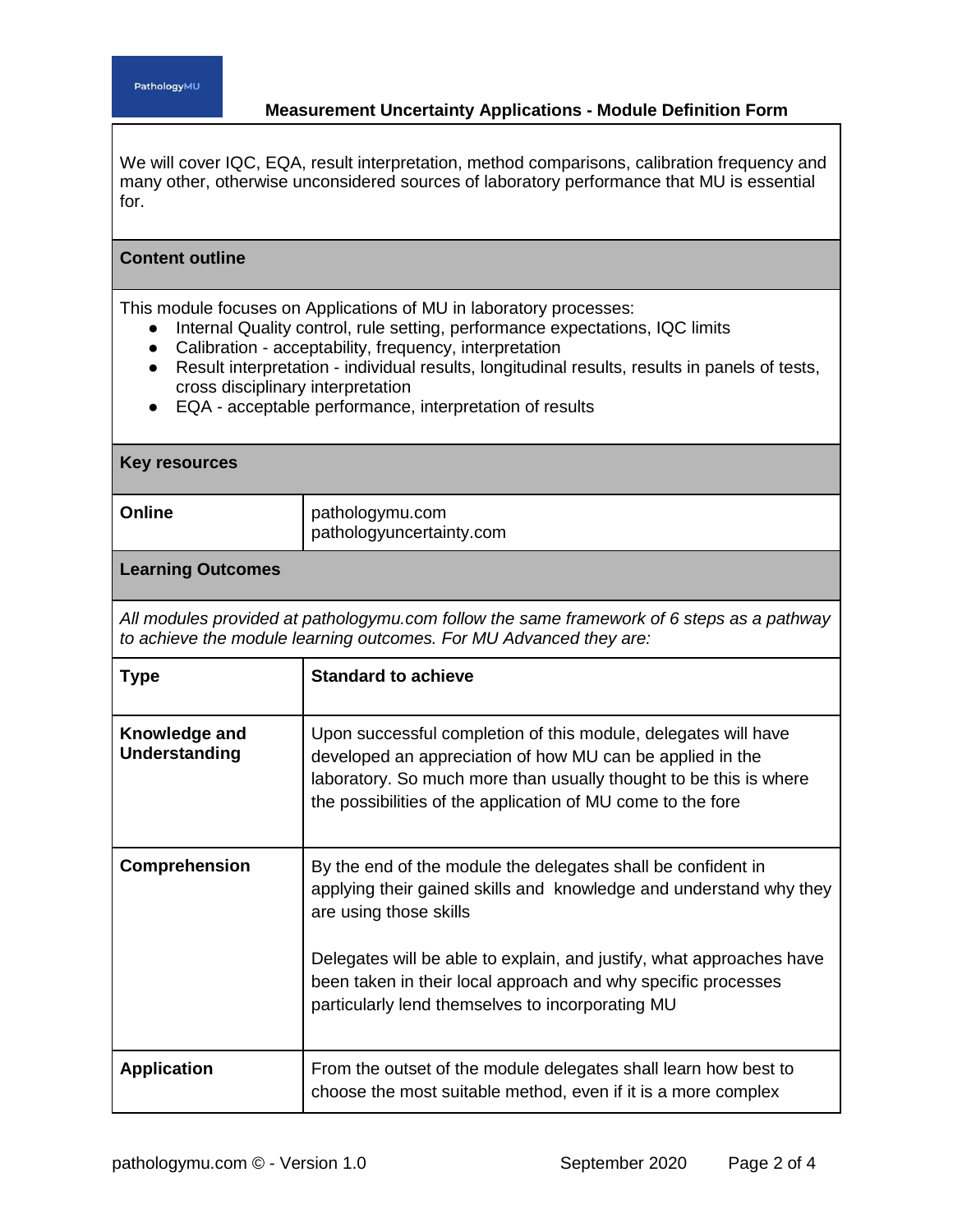**Content outline**

## **Measurement Uncertainty Applications - Module Definition Form**

We will cover IQC, EQA, result interpretation, method comparisons, calibration frequency and many other, otherwise unconsidered sources of laboratory performance that MU is essential for.

## This module focuses on Applications of MU in laboratory processes: ● Internal Quality control, rule setting, performance expectations, IQC limits ● Calibration - acceptability, frequency, interpretation ● Result interpretation - individual results, longitudinal results, results in panels of tests, cross disciplinary interpretation ● EQA - acceptable performance, interpretation of results **Key resources Online** pathologymu.com pathologyuncertainty.com **Learning Outcomes** *All modules provided at pathologymu.com follow the same framework of 6 steps as a pathway to achieve the module learning outcomes. For MU Advanced they are:* **Type Standard to achieve Knowledge and Understanding** Upon successful completion of this module, delegates will have developed an appreciation of how MU can be applied in the laboratory. So much more than usually thought to be this is where the possibilities of the application of MU come to the fore **Comprehension** | By the end of the module the delegates shall be confident in applying their gained skills and knowledge and understand why they are using those skills Delegates will be able to explain, and justify, what approaches have been taken in their local approach and why specific processes particularly lend themselves to incorporating MU **Application From the outset of the module delegates shall learn how best to** choose the most suitable method, even if it is a more complex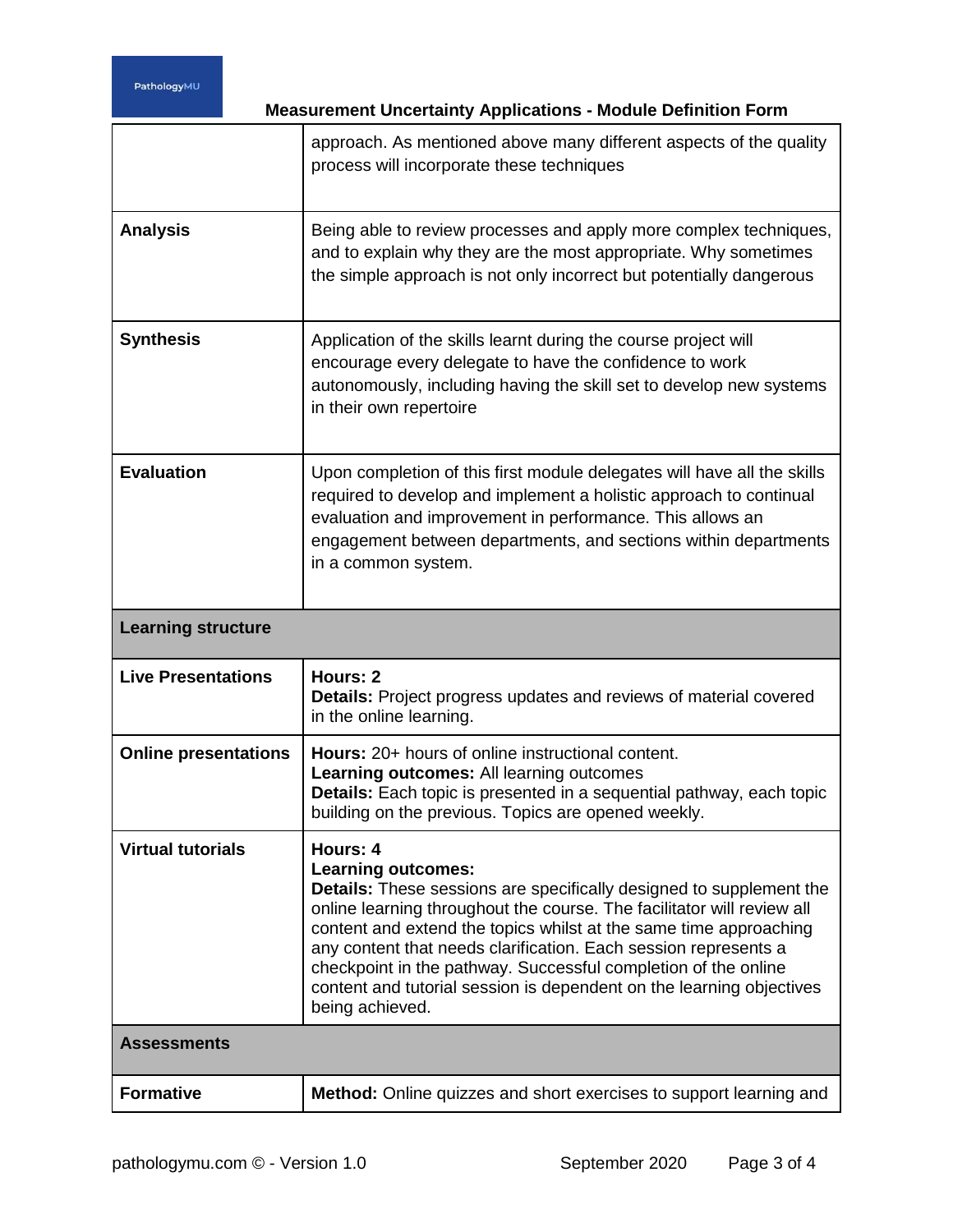**Measurement Uncertainty Applications - Module Definition Form**

|                             | approach. As mentioned above many different aspects of the quality<br>process will incorporate these techniques                                                                                                                                                                                                                                                                                                                                                                                    |
|-----------------------------|----------------------------------------------------------------------------------------------------------------------------------------------------------------------------------------------------------------------------------------------------------------------------------------------------------------------------------------------------------------------------------------------------------------------------------------------------------------------------------------------------|
| <b>Analysis</b>             | Being able to review processes and apply more complex techniques,<br>and to explain why they are the most appropriate. Why sometimes<br>the simple approach is not only incorrect but potentially dangerous                                                                                                                                                                                                                                                                                        |
| <b>Synthesis</b>            | Application of the skills learnt during the course project will<br>encourage every delegate to have the confidence to work<br>autonomously, including having the skill set to develop new systems<br>in their own repertoire                                                                                                                                                                                                                                                                       |
| <b>Evaluation</b>           | Upon completion of this first module delegates will have all the skills<br>required to develop and implement a holistic approach to continual<br>evaluation and improvement in performance. This allows an<br>engagement between departments, and sections within departments<br>in a common system.                                                                                                                                                                                               |
| <b>Learning structure</b>   |                                                                                                                                                                                                                                                                                                                                                                                                                                                                                                    |
| <b>Live Presentations</b>   | Hours: 2<br><b>Details:</b> Project progress updates and reviews of material covered<br>in the online learning.                                                                                                                                                                                                                                                                                                                                                                                    |
|                             |                                                                                                                                                                                                                                                                                                                                                                                                                                                                                                    |
| <b>Online presentations</b> | <b>Hours:</b> 20+ hours of online instructional content.<br>Learning outcomes: All learning outcomes<br>Details: Each topic is presented in a sequential pathway, each topic<br>building on the previous. Topics are opened weekly.                                                                                                                                                                                                                                                                |
| <b>Virtual tutorials</b>    | Hours: 4<br><b>Learning outcomes:</b><br><b>Details:</b> These sessions are specifically designed to supplement the<br>online learning throughout the course. The facilitator will review all<br>content and extend the topics whilst at the same time approaching<br>any content that needs clarification. Each session represents a<br>checkpoint in the pathway. Successful completion of the online<br>content and tutorial session is dependent on the learning objectives<br>being achieved. |
| <b>Assessments</b>          |                                                                                                                                                                                                                                                                                                                                                                                                                                                                                                    |